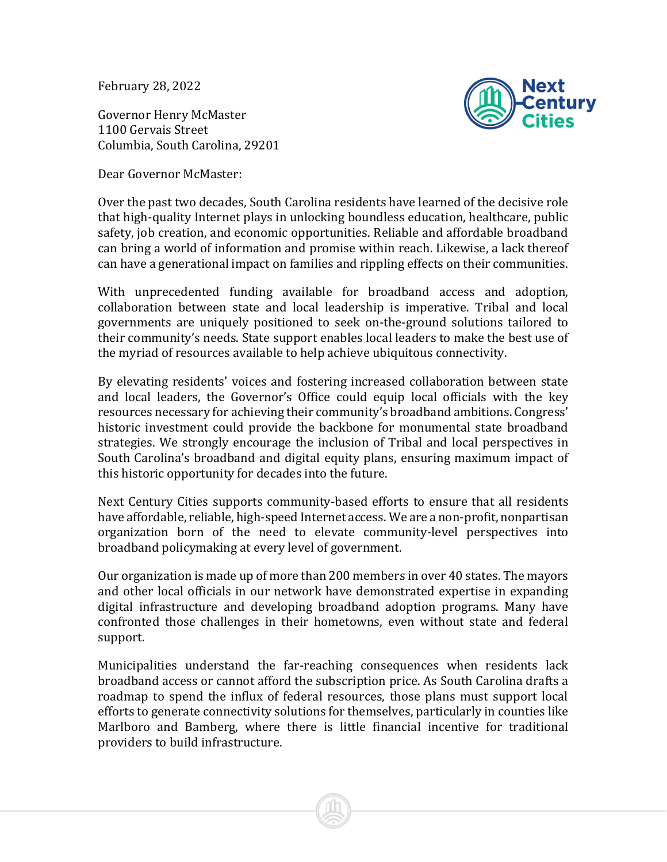February 28, 2022

Governor Henry McMaster 1100 Gervais Street Columbia, South Carolina, 29201



Dear Governor McMaster:

Over the past two decades, South Carolina residents have learned of the decisive role that high-quality Internet plays in unlocking boundless education, healthcare, public safety, job creation, and economic opportunities. Reliable and affordable broadband can bring a world of information and promise within reach. Likewise, a lack thereof can have a generational impact on families and rippling effects on their communities.

With unprecedented funding available for broadband access and adoption, collaboration between state and local leadership is imperative. Tribal and local governments are uniquely positioned to seek on-the-ground solutions tailored to their community's needs. State support enables local leaders to make the best use of the myriad of resources available to help achieve ubiquitous connectivity.

By elevating residents' voices and fostering increased collaboration between state and local leaders, the Governor's Office could equip local officials with the key resources necessary for achieving their community's broadband ambitions. Congress' historic investment could provide the backbone for monumental state broadband strategies. We strongly encourage the inclusion of Tribal and local perspectives in South Carolina's broadband and digital equity plans, ensuring maximum impact of this historic opportunity for decades into the future.

Next Century Cities supports community-based efforts to ensure that all residents have affordable, reliable, high-speed Internet access. We are a non-profit, nonpartisan organization born of the need to elevate community-level perspectives into broadband policymaking at every level of government.

Our organization is made up of more than 200 members in over 40 states. The mayors and other local officials in our network have demonstrated expertise in expanding digital infrastructure and developing broadband adoption programs. Many have confronted those challenges in their hometowns, even without state and federal support.

Municipalities understand the far-reaching consequences when residents lack broadband access or cannot afford the subscription price. As South Carolina drafts a roadmap to spend the influx of federal resources, those plans must support local efforts to generate connectivity solutions for themselves, particularly in counties like Marlboro and Bamberg, where there is little financial incentive for traditional providers to build infrastructure.